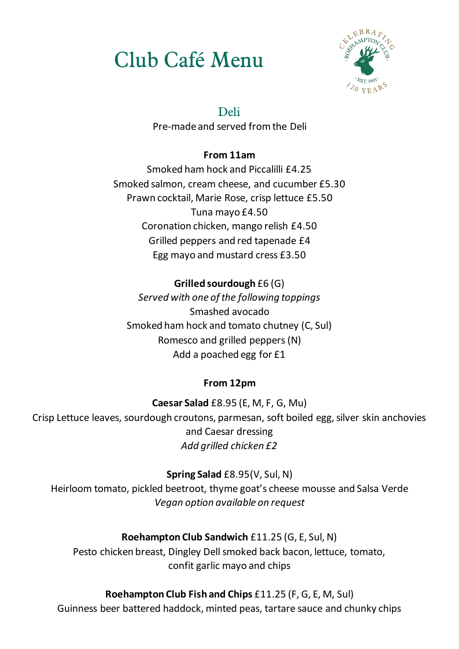# Club Café Menu



## Deli

Pre-made and served from the Deli

### **From 11am**

Smoked ham hock and Piccalilli £4.25 Smoked salmon, cream cheese, and cucumber £5.30 Prawn cocktail, Marie Rose, crisp lettuce £5.50 Tuna mayo £4.50 Coronation chicken, mango relish £4.50 Grilled peppers and red tapenade £4 Egg mayo and mustard cress £3.50

## **Grilled sourdough** £6 (G)

*Served with one of the following toppings*  Smashed avocado Smoked ham hock and tomato chutney (C, Sul) Romesco and grilled peppers (N) Add a poached egg for £1

## **From 12pm**

**Caesar Salad** £8.95 (E, M, F, G, Mu) Crisp Lettuce leaves, sourdough croutons, parmesan, soft boiled egg, silver skin anchovies and Caesar dressing *Add grilled chicken £2*

**Spring Salad** £8.95(V, Sul, N)

Heirloom tomato, pickled beetroot, thyme goat's cheese mousse and Salsa Verde *Vegan option available on request*

**Roehampton Club Sandwich** £11.25 (G, E, Sul, N)

Pesto chicken breast, Dingley Dell smoked back bacon, lettuce, tomato, confit garlic mayo and chips

## **Roehampton Club Fish and Chips** £11.25 (F, G, E, M, Sul)

Guinness beer battered haddock, minted peas, tartare sauce and chunky chips